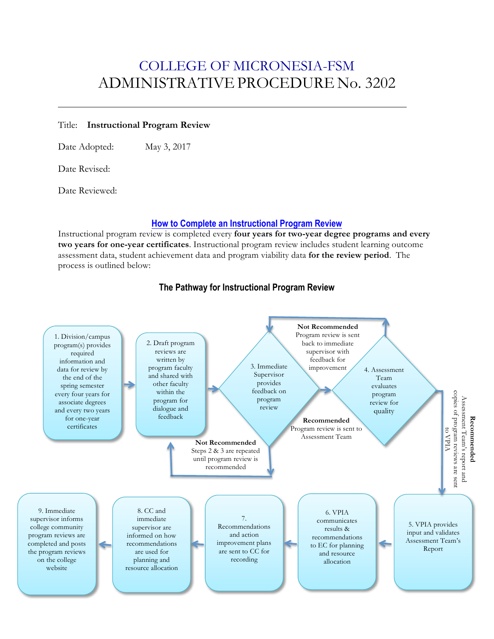## COLLEGE OF MICRONESIA-FSM ADMINISTRATIVEPROCEDURE No. 3202

#### Title: **Instructional Program Review**

Date Adopted: May 3, 2017

Date Revised:

Date Reviewed:

#### **How to Complete an Instructional Program Review**

Instructional program review is completed every **four years for two-year degree programs and every two years for one-year certificates**. Instructional program review includes student learning outcome assessment data, student achievement data and program viability data **for the review period**. The process is outlined below:



### **The Pathway for Instructional Program Review**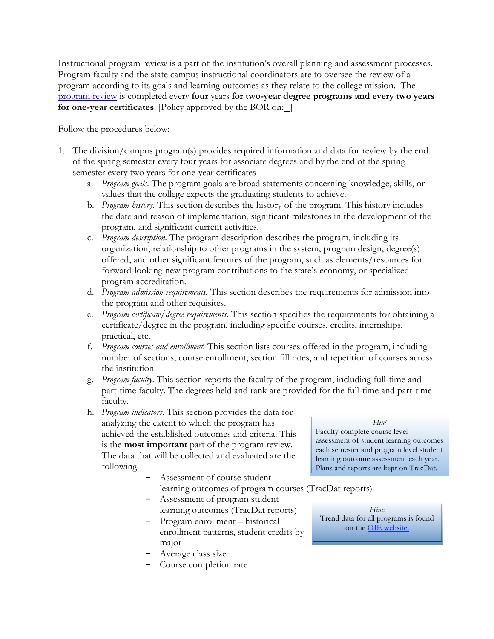Instructional program review is a part of the institution's overall planning and assessment processes. Program faculty and the state campus instructional coordinators are to oversee the review of a program according to its goals and learning outcomes as they relate to the college mission. The program review is completed every **four** years **for two-year degree programs and every two years for one-year certificates**. [Policy approved by the BOR on:

Follow the procedures below:

- 1. The division/campus program(s) provides required information and data for review by the end of the spring semester every four years for associate degrees and by the end of the spring semester every two years for one-year certificates
	- a. *Program goals*. The program goals are broad statements concerning knowledge, skills, or values that the college expects the graduating students to achieve.
	- b. *Program history*. This section describes the history of the program. This history includes the date and reason of implementation, significant milestones in the development of the program, and significant current activities.
	- c. *Program description.* The program description describes the program, including its organization, relationship to other programs in the system, program design, degree(s) offered, and other significant features of the program, such as elements/resources for forward-looking new program contributions to the state's economy, or specialized program accreditation.
	- d. *Program admission requirements.* This section describes the requirements for admission into the program and other requisites.
	- e. *Program certificate/degree requirements.* This section specifies the requirements for obtaining a certificate/degree in the program, including specific courses, credits, internships, practical, etc.
	- f. *Program courses and enrollment.* This section lists courses offered in the program, including number of sections, course enrollment, section fill rates, and repetition of courses across the institution.
	- g. *Program faculty*. This section reports the faculty of the program, including full-time and part-time faculty. The degrees held and rank are provided for the full-time and part-time faculty.
	- h. *Program indicators*. This section provides the data for analyzing the extent to which the program has achieved the established outcomes and criteria. This is the **most important** part of the program review. The data that will be collected and evaluated are the following:
		- Assessment of course student learning outcomes of program courses (TracDat reports)
		- Assessment of program student learning outcomes (TracDat reports)
		- Program enrollment historical enrollment patterns, student credits by major
		- Average class size
		- Course completion rate

*Hint* Faculty complete course level assessment of student learning outcomes each semester and program level student learning outcome assessment each year. Plans and reports are kept on TracDat.

*Hint:* Trend data for all programs is found on the OIE website.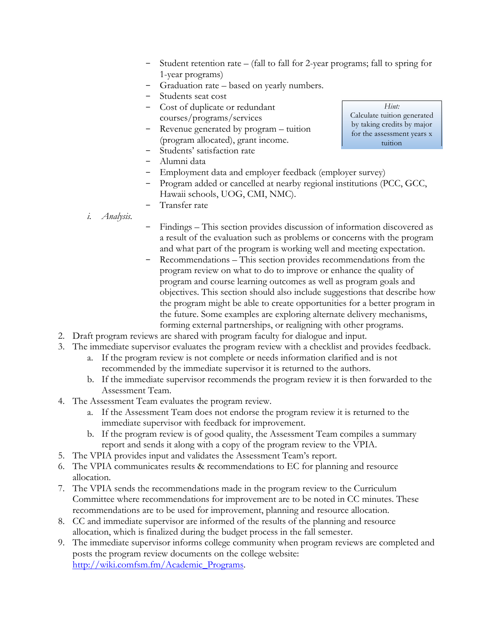- Student retention rate (fall to fall for 2-year programs; fall to spring for 1-year programs)
- Graduation rate based on yearly numbers.
- Students seat cost
- Cost of duplicate or redundant courses/programs/services
- Revenue generated by program tuition (program allocated), grant income.
- Students' satisfaction rate
- Alumni data
- Employment data and employer feedback (employer survey)
- Program added or cancelled at nearby regional institutions (PCC, GCC, Hawaii schools, UOG, CMI, NMC).
- Transfer rate
- *i. Analysis.*
- Findings This section provides discussion of information discovered as a result of the evaluation such as problems or concerns with the program and what part of the program is working well and meeting expectation.
- Recommendations This section provides recommendations from the program review on what to do to improve or enhance the quality of program and course learning outcomes as well as program goals and objectives. This section should also include suggestions that describe how the program might be able to create opportunities for a better program in the future. Some examples are exploring alternate delivery mechanisms, forming external partnerships, or realigning with other programs.
- 2. Draft program reviews are shared with program faculty for dialogue and input.
- 3. The immediate supervisor evaluates the program review with a checklist and provides feedback.
	- a. If the program review is not complete or needs information clarified and is not recommended by the immediate supervisor it is returned to the authors.
	- b. If the immediate supervisor recommends the program review it is then forwarded to the Assessment Team.
- 4. The Assessment Team evaluates the program review.
	- a. If the Assessment Team does not endorse the program review it is returned to the immediate supervisor with feedback for improvement.
	- b. If the program review is of good quality, the Assessment Team compiles a summary report and sends it along with a copy of the program review to the VPIA.
- 5. The VPIA provides input and validates the Assessment Team's report.
- 6. The VPIA communicates results & recommendations to EC for planning and resource allocation.
- 7. The VPIA sends the recommendations made in the program review to the Curriculum Committee where recommendations for improvement are to be noted in CC minutes. These recommendations are to be used for improvement, planning and resource allocation.
- 8. CC and immediate supervisor are informed of the results of the planning and resource allocation, which is finalized during the budget process in the fall semester.
- 9. The immediate supervisor informs college community when program reviews are completed and posts the program review documents on the college website: http://wiki.comfsm.fm/Academic\_Programs.

*Hint:* Calculate tuition generated by taking credits by major for the assessment years x tuition